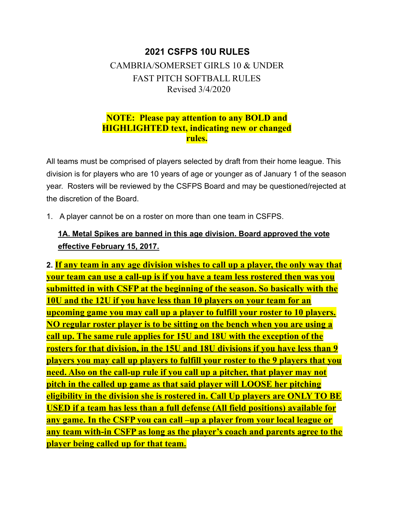# **2021 CSFPS 10U RULES** CAMBRIA/SOMERSET GIRLS 10 & UNDER FAST PITCH SOFTBALL RULES Revised 3/4/2020

## **NOTE: Please pay attention to any BOLD and HIGHLIGHTED text, indicating new or changed rules.**

All teams must be comprised of players selected by draft from their home league. This division is for players who are 10 years of age or younger as of January 1 of the season year. Rosters will be reviewed by the CSFPS Board and may be questioned/rejected at the discretion of the Board.

1. A player cannot be on a roster on more than one team in CSFPS.

## **1A. Metal Spikes are banned in this age division. Board approved the vote effective February 15, 2017.**

**2. If any team in any age division wishes to call up a player, the only way that your team can use a call-up is if you have a team less rostered then was you submitted in with CSFP at the beginning of the season. So basically with the 10U and the 12U if you have less than 10 players on your team for an upcoming game you may call up a player to fulfill your roster to 10 players. NO regular roster player is to be sitting on the bench when you are using a call up. The same rule applies for 15U and 18U with the exception of the rosters for that division, in the 15U and 18U divisions if you have less than 9 players you may call up players to fulfill your roster to the 9 players that you need. Also on the call-up rule if you call up a pitcher, that player may not pitch in the called up game as that said player will LOOSE her pitching eligibility in the division she is rostered in. Call Up players are ONLY TO BE USED if a team has less than a full defense (All field positions) available for any game. In the CSFP you can call –up a player from your local league or any team with-in CSFP as long as the player's coach and parents agree to the player being called up for that team.**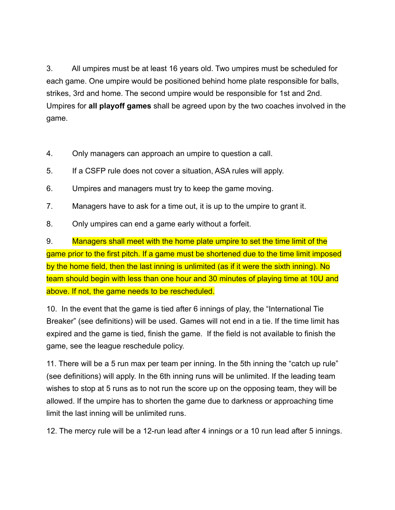3. All umpires must be at least 16 years old. Two umpires must be scheduled for each game. One umpire would be positioned behind home plate responsible for balls, strikes, 3rd and home. The second umpire would be responsible for 1st and 2nd. Umpires for **all playoff games** shall be agreed upon by the two coaches involved in the game.

- 4. Only managers can approach an umpire to question a call.
- 5. If a CSFP rule does not cover a situation, ASA rules will apply.
- 6. Umpires and managers must try to keep the game moving.
- 7. Managers have to ask for a time out, it is up to the umpire to grant it.
- 8. Only umpires can end a game early without a forfeit.

9. Managers shall meet with the home plate umpire to set the time limit of the game prior to the first pitch. If a game must be shortened due to the time limit imposed by the home field, then the last inning is unlimited (as if it were the sixth inning). No team should begin with less than one hour and 30 minutes of playing time at 10U and above. If not, the game needs to be rescheduled.

10. In the event that the game is tied after 6 innings of play, the "International Tie Breaker" (see definitions) will be used. Games will not end in a tie. If the time limit has expired and the game is tied, finish the game. If the field is not available to finish the game, see the league reschedule policy.

11. There will be a 5 run max per team per inning. In the 5th inning the "catch up rule" (see definitions) will apply. In the 6th inning runs will be unlimited. If the leading team wishes to stop at 5 runs as to not run the score up on the opposing team, they will be allowed. If the umpire has to shorten the game due to darkness or approaching time limit the last inning will be unlimited runs.

12. The mercy rule will be a 12-run lead after 4 innings or a 10 run lead after 5 innings.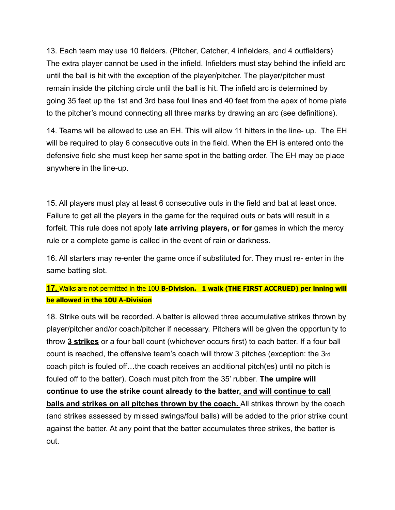13. Each team may use 10 fielders. (Pitcher, Catcher, 4 infielders, and 4 outfielders) The extra player cannot be used in the infield. Infielders must stay behind the infield arc until the ball is hit with the exception of the player/pitcher. The player/pitcher must remain inside the pitching circle until the ball is hit. The infield arc is determined by going 35 feet up the 1st and 3rd base foul lines and 40 feet from the apex of home plate to the pitcher's mound connecting all three marks by drawing an arc (see definitions).

14. Teams will be allowed to use an EH. This will allow 11 hitters in the line- up. The EH will be required to play 6 consecutive outs in the field. When the EH is entered onto the defensive field she must keep her same spot in the batting order. The EH may be place anywhere in the line-up.

15. All players must play at least 6 consecutive outs in the field and bat at least once. Failure to get all the players in the game for the required outs or bats will result in a forfeit. This rule does not apply **late arriving players, or for** games in which the mercy rule or a complete game is called in the event of rain or darkness.

16. All starters may re-enter the game once if substituted for. They must re- enter in the same batting slot.

### **17.** Walks are not permitted in the 10U **B-Division. 1 walk (THE FIRST ACCRUED) per inning will be allowed in the 10U A-Division**

18. Strike outs will be recorded. A batter is allowed three accumulative strikes thrown by player/pitcher and/or coach/pitcher if necessary. Pitchers will be given the opportunity to throw **3 strikes** or a four ball count (whichever occurs first) to each batter. If a four ball count is reached, the offensive team's coach will throw 3 pitches (exception: the 3rd coach pitch is fouled off…the coach receives an additional pitch(es) until no pitch is fouled off to the batter). Coach must pitch from the 35' rubber. **The umpire will continue to use the strike count already to the batter, and will continue to call balls and strikes on all pitches thrown by the coach.** All strikes thrown by the coach (and strikes assessed by missed swings/foul balls) will be added to the prior strike count against the batter. At any point that the batter accumulates three strikes, the batter is out.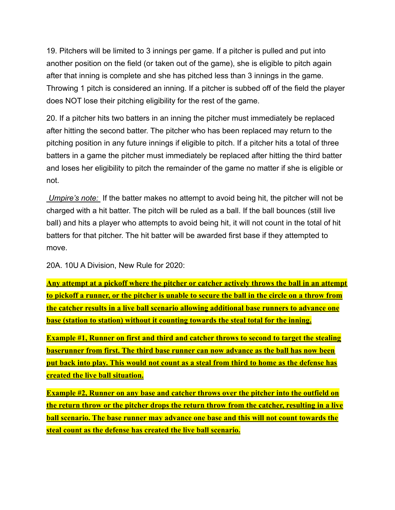19. Pitchers will be limited to 3 innings per game. If a pitcher is pulled and put into another position on the field (or taken out of the game), she is eligible to pitch again after that inning is complete and she has pitched less than 3 innings in the game. Throwing 1 pitch is considered an inning. If a pitcher is subbed off of the field the player does NOT lose their pitching eligibility for the rest of the game.

20. If a pitcher hits two batters in an inning the pitcher must immediately be replaced after hitting the second batter. The pitcher who has been replaced may return to the pitching position in any future innings if eligible to pitch. If a pitcher hits a total of three batters in a game the pitcher must immediately be replaced after hitting the third batter and loses her eligibility to pitch the remainder of the game no matter if she is eligible or not.

*Umpire's note:* If the batter makes no attempt to avoid being hit, the pitcher will not be charged with a hit batter. The pitch will be ruled as a ball. If the ball bounces (still live ball) and hits a player who attempts to avoid being hit, it will not count in the total of hit batters for that pitcher. The hit batter will be awarded first base if they attempted to move.

20A. 10U A Division, New Rule for 2020:

**Any attempt at a pickoff where the pitcher or catcher actively throws the ball in an attempt to pickoff a runner, or the pitcher is unable to secure the ball in the circle on a throw from the catcher results in a live ball scenario allowing additional base runners to advance one base (station to station) without it counting towards the steal total for the inning.**

**Example #1, Runner on first and third and catcher throws to second to target the stealing baserunner from first. The third base runner can now advance as the ball has now been put back into play. This would not count as a steal from third to home as the defense has created the live ball situation.**

**Example #2, Runner on any base and catcher throws over the pitcher into the outfield on the return throw or the pitcher drops the return throw from the catcher, resulting in a live ball scenario. The base runner may advance one base and this will not count towards the steal count as the defense has created the live ball scenario.**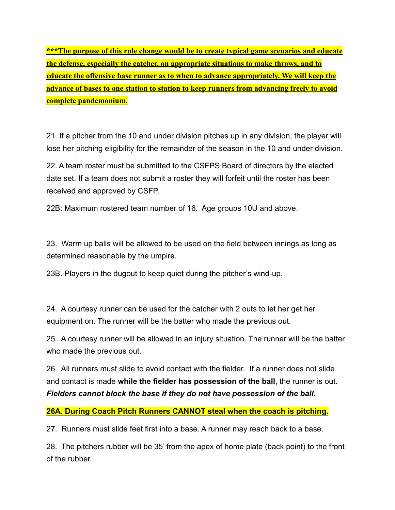**\*\*\*The purpose of this rule change would be to create typical game scenarios and educate the defense, especially the catcher, on appropriate situations to make throws, and to educate the offensive base runner as to when to advance appropriately. We will keep the advance of bases to one station to station to keep runners from advancing freely to avoid complete pandemonium.**

21. If a pitcher from the 10 and under division pitches up in any division, the player will lose her pitching eligibility for the remainder of the season in the 10 and under division.

22. A team roster must be submitted to the CSFPS Board of directors by the elected date set. If a team does not submit a roster they will forfeit until the roster has been received and approved by CSFP.

22B: Maximum rostered team number of 16. Age groups 10U and above.

23. Warm up balls will be allowed to be used on the field between innings as long as determined reasonable by the umpire.

23B. Players in the dugout to keep quiet during the pitcher's wind-up.

24. A courtesy runner can be used for the catcher with 2 outs to let her get her equipment on. The runner will be the batter who made the previous out.

25. A courtesy runner will be allowed in an injury situation. The runner will be the batter who made the previous out.

26. All runners must slide to avoid contact with the fielder. If a runner does not slide and contact is made **while the fielder has possession of the ball**, the runner is out. *Fielders cannot block the base if they do not have possession of the ball.*

#### **26A. During Coach Pitch Runners CANNOT steal when the coach is pitching.**

27. Runners must slide feet first into a base. A runner may reach back to a base.

28. The pitchers rubber will be 35' from the apex of home plate (back point) to the front of the rubber.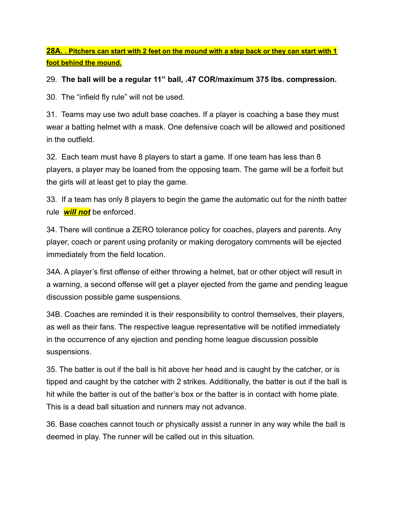**28A. . Pitchers can start with 2 feet on the mound with a step back or they can start with 1 foot behind the mound.**

#### 29. **The ball will be a regular 11" ball, .47 COR/maximum 375 lbs. compression.**

30. The "infield fly rule" will not be used.

31. Teams may use two adult base coaches. If a player is coaching a base they must wear a batting helmet with a mask. One defensive coach will be allowed and positioned in the outfield.

32. Each team must have 8 players to start a game. If one team has less than 8 players, a player may be loaned from the opposing team. The game will be a forfeit but the girls will at least get to play the game.

33. If a team has only 8 players to begin the game the automatic out for the ninth batter rule *will not* be enforced.

34. There will continue a ZERO tolerance policy for coaches, players and parents. Any player, coach or parent using profanity or making derogatory comments will be ejected immediately from the field location.

34A. A player's first offense of either throwing a helmet, bat or other object will result in a warning, a second offense will get a player ejected from the game and pending league discussion possible game suspensions.

34B. Coaches are reminded it is their responsibility to control themselves, their players, as well as their fans. The respective league representative will be notified immediately in the occurrence of any ejection and pending home league discussion possible suspensions.

35. The batter is out if the ball is hit above her head and is caught by the catcher, or is tipped and caught by the catcher with 2 strikes. Additionally, the batter is out if the ball is hit while the batter is out of the batter's box or the batter is in contact with home plate. This is a dead ball situation and runners may not advance.

36. Base coaches cannot touch or physically assist a runner in any way while the ball is deemed in play. The runner will be called out in this situation.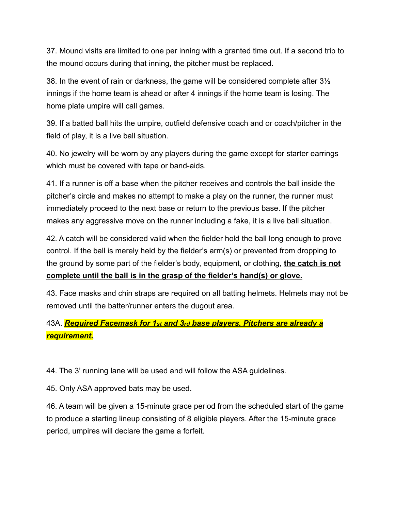37. Mound visits are limited to one per inning with a granted time out. If a second trip to the mound occurs during that inning, the pitcher must be replaced.

38. In the event of rain or darkness, the game will be considered complete after 3½ innings if the home team is ahead or after 4 innings if the home team is losing. The home plate umpire will call games.

39. If a batted ball hits the umpire, outfield defensive coach and or coach/pitcher in the field of play, it is a live ball situation.

40. No jewelry will be worn by any players during the game except for starter earrings which must be covered with tape or band-aids.

41. If a runner is off a base when the pitcher receives and controls the ball inside the pitcher's circle and makes no attempt to make a play on the runner, the runner must immediately proceed to the next base or return to the previous base. If the pitcher makes any aggressive move on the runner including a fake, it is a live ball situation.

42. A catch will be considered valid when the fielder hold the ball long enough to prove control. If the ball is merely held by the fielder's arm(s) or prevented from dropping to the ground by some part of the fielder's body, equipment, or clothing, **the catch is not complete until the ball is in the grasp of the fielder's hand(s) or glove.**

43. Face masks and chin straps are required on all batting helmets. Helmets may not be removed until the batter/runner enters the dugout area.

## 43A. *Required Facemask for 1st and 3rd base players. Pitchers are already a requirement.*

44. The 3' running lane will be used and will follow the ASA guidelines.

45. Only ASA approved bats may be used.

46. A team will be given a 15-minute grace period from the scheduled start of the game to produce a starting lineup consisting of 8 eligible players. After the 15-minute grace period, umpires will declare the game a forfeit.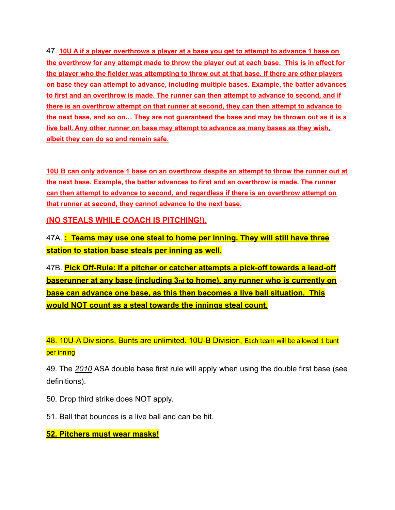47. **10U A if a player overthrows a player at a base you get to attempt to advance 1 base on the overthrow for any attempt made to throw the player out at each base. This is in effect for the player who the fielder was attempting to throw out at that base. If there are other players on base they can attempt to advance, including multiple bases. Example, the batter advances to first and an overthrow is made. The runner can then attempt to advance to second, and if there is an overthrow attempt on that runner at second, they can then attempt to advance to the next base, and so on… They are not guaranteed the base and may be thrown out as it is a live ball. Any other runner on base may attempt to advance as many bases as they wish, albeit they can do so and remain safe.**

**10U B can only advance 1 base on an overthrow despite an attempt to throw the runner out at the next base. Example, the batter advances to first and an overthrow is made. The runner can then attempt to advance to second, and regardless if there is an overthrow attempt on that runner at second, they cannot advance to the next base.**

**(NO STEALS WHILE COACH IS PITCHING!).**

47A. **: Teams may use one steal to home per inning. They will still have three station to station base steals per inning as well.**

47B. **Pick Off-Rule: If a pitcher or catcher attempts a pick-off towards a lead-off baserunner at any base (including 3rd to home), any runner who is currently on base can advance one base, as this then becomes a live ball situation. This would NOT count as a steal towards the innings steal count.**

48. 10U-A Divisions, Bunts are unlimited. 10U-B Division, Each team will be allowed 1 bunt per inning

49. The *2010* ASA double base first rule will apply when using the double first base (see definitions).

- 50. Drop third strike does NOT apply.
- 51. Ball that bounces is a live ball and can be hit.

**52. Pitchers must wear masks!**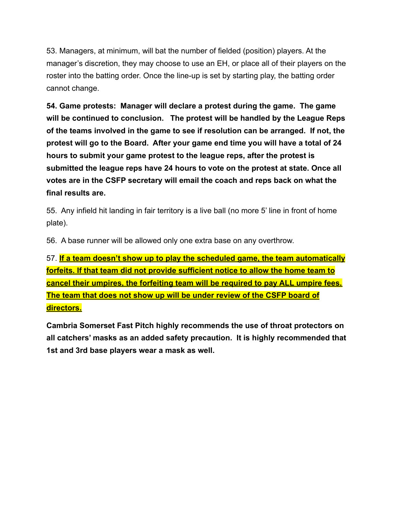53. Managers, at minimum, will bat the number of fielded (position) players. At the manager's discretion, they may choose to use an EH, or place all of their players on the roster into the batting order. Once the line-up is set by starting play, the batting order cannot change.

**54. Game protests: Manager will declare a protest during the game. The game will be continued to conclusion. The protest will be handled by the League Reps of the teams involved in the game to see if resolution can be arranged. If not, the protest will go to the Board. After your game end time you will have a total of 24 hours to submit your game protest to the league reps, after the protest is submitted the league reps have 24 hours to vote on the protest at state. Once all votes are in the CSFP secretary will email the coach and reps back on what the final results are.**

55. Any infield hit landing in fair territory is a live ball (no more 5' line in front of home plate).

56. A base runner will be allowed only one extra base on any overthrow.

57. **If a team doesn't show up to play the scheduled game, the team automatically forfeits. If that team did not provide sufficient notice to allow the home team to cancel their umpires, the forfeiting team will be required to pay ALL umpire fees. The team that does not show up will be under review of the CSFP board of directors.**

**Cambria Somerset Fast Pitch highly recommends the use of throat protectors on all catchers' masks as an added safety precaution. It is highly recommended that 1st and 3rd base players wear a mask as well.**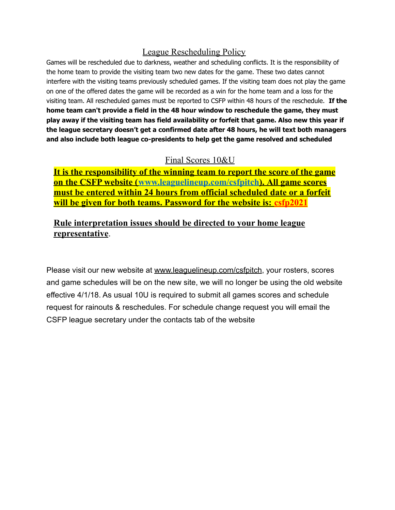#### League Rescheduling Policy

Games will be rescheduled due to darkness, weather and scheduling conflicts. It is the responsibility of the home team to provide the visiting team two new dates for the game. These two dates cannot interfere with the visiting teams previously scheduled games. If the visiting team does not play the game on one of the offered dates the game will be recorded as a win for the home team and a loss for the visiting team. All rescheduled games must be reported to CSFP within 48 hours of the reschedule. **If the home team can't provide a field in the 48 hour window to reschedule the game, they must play away if the visiting team has field availability or forfeit that game. Also new this year if the league secretary doesn't get a confirmed date after 48 hours, he will text both managers and also include both league co-presidents to help get the game resolved and scheduled**

### Final Scores 10&U

**It is the responsibility of the winning team to report the score of the game on the CSFP website (www.leaguelineup.com/csfpitch). All game scores must be entered within 24 hours from official scheduled date or a forfeit will be given for both teams. Password for the website is: csfp2021**

### **Rule interpretation issues should be directed to your home league representative**.

Please visit our new website at [www.leaguelineup.com/csfpitch](http://www.leaguelineup.com/csfpitch), your rosters, scores and game schedules will be on the new site, we will no longer be using the old website effective 4/1/18. As usual 10U is required to submit all games scores and schedule request for rainouts & reschedules. For schedule change request you will email the CSFP league secretary under the contacts tab of the website